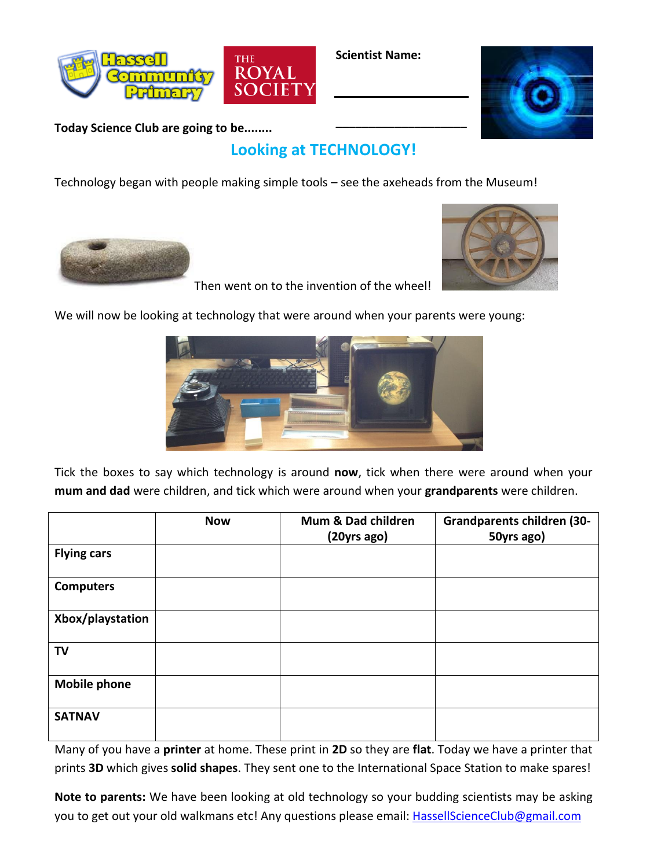

**Scientist Name:**

**\_\_\_\_\_\_\_\_\_\_\_\_\_\_\_\_\_\_\_\_**



**Today Science Club are going to be........**

## **Looking at TECHNOLOGY!**

Technology began with people making simple tools – see the axeheads from the Museum!





Then went on to the invention of the wheel!

We will now be looking at technology that were around when your parents were young:



Tick the boxes to say which technology is around **now**, tick when there were around when your **mum and dad** were children, and tick which were around when your **grandparents** were children.

|                     | <b>Now</b> | Mum & Dad children<br>(20yrs ago) | <b>Grandparents children (30-</b><br>50yrs ago) |
|---------------------|------------|-----------------------------------|-------------------------------------------------|
| <b>Flying cars</b>  |            |                                   |                                                 |
| <b>Computers</b>    |            |                                   |                                                 |
| Xbox/playstation    |            |                                   |                                                 |
| <b>TV</b>           |            |                                   |                                                 |
| <b>Mobile phone</b> |            |                                   |                                                 |
| <b>SATNAV</b>       |            |                                   |                                                 |

Many of you have a **printer** at home. These print in **2D** so they are **flat**. Today we have a printer that prints **3D** which gives **solid shapes**. They sent one to the International Space Station to make spares!

**Note to parents:** We have been looking at old technology so your budding scientists may be asking you to get out your old walkmans etc! Any questions please email: [HassellScienceClub@gmail.com](mailto:HassellScienceClub@gmail.com)